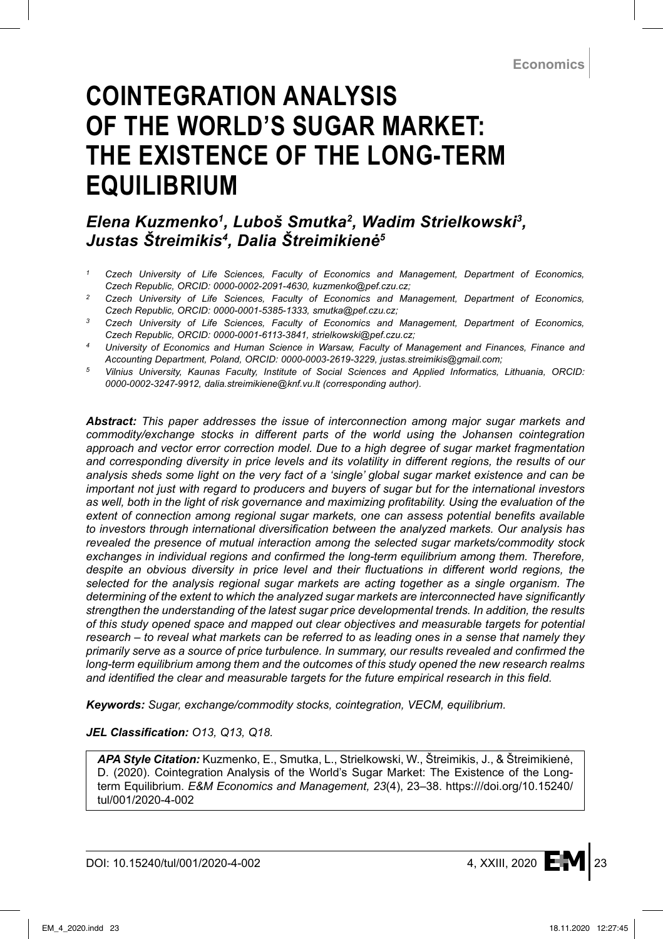# **COINTEGRATION ANALYSIS OF THE WORLD'S SUGAR MARKET: THE EXISTENCE OF THE LONG-TERM EQUILIBRIUM**

# *Elena Kuzmenko<sup>1</sup> , Luboš Smutka<sup>2</sup> , Wadim Strielkowski<sup>3</sup> , Justas Štreimikis<sup>4</sup> , Dalia Štreimikienė<sup>5</sup>*

- *<sup>1</sup> Czech University of Life Sciences, Faculty of Economics and Management, Department of Economics, Czech Republic, ORCID: 0000-0002-2091-4630, kuzmenko@pef.czu.cz;*
- *<sup>2</sup> Czech University of Life Sciences, Faculty of Economics and Management, Department of Economics, Czech Republic, ORCID: 0000-0001-5385-1333, smutka@pef.czu.cz;*
- *<sup>3</sup> Czech University of Life Sciences, Faculty of Economics and Management, Department of Economics, Czech Republic, ORCID: 0000-0001-6113-3841, strielkowski@pef.czu.cz;*
- *<sup>4</sup> University of Economics and Human Science in Warsaw, Faculty of Management and Finances, Finance and Accounting Department, Poland, ORCID: 0000-0003-2619-3229, justas.streimikis@gmail.com;*
- *<sup>5</sup> Vilnius University, Kaunas Faculty, Institute of Social Sciences and Applied Informatics, Lithuania, ORCID: 0000-0002-3247-9912, dalia.streimikiene@knf.vu.lt (corresponding author).*

*Abstract: This paper addresses the issue of interconnection among major sugar markets and commodity/exchange stocks in different parts of the world using the Johansen cointegration approach and vector error correction model. Due to a high degree of sugar market fragmentation and corresponding diversity in price levels and its volatility in different regions, the results of our analysis sheds some light on the very fact of a 'single' global sugar market existence and can be important not just with regard to producers and buyers of sugar but for the international investors as well, both in the light of risk governance and maximizing profitability. Using the evaluation of the extent of connection among regional sugar markets, one can assess potential benefits available to investors through international diversification between the analyzed markets. Our analysis has revealed the presence of mutual interaction among the selected sugar markets/commodity stock exchanges in individual regions and confirmed the long-term equilibrium among them. Therefore, despite an obvious diversity in price level and their fluctuations in different world regions, the selected for the analysis regional sugar markets are acting together as a single organism. The determining of the extent to which the analyzed sugar markets are interconnected have significantly strengthen the understanding of the latest sugar price developmental trends. In addition, the results of this study opened space and mapped out clear objectives and measurable targets for potential research – to reveal what markets can be referred to as leading ones in a sense that namely they primarily serve as a source of price turbulence. In summary, our results revealed and confirmed the long-term equilibrium among them and the outcomes of this study opened the new research realms and identified the clear and measurable targets for the future empirical research in this field.*

*Keywords: Sugar, exchange/commodity stocks, cointegration, VECM, equilibrium.*

#### *JEL Classification: O13, Q13, Q18.*

*APA Style Citation:* Kuzmenko, E., Smutka, L., Strielkowski, W., Štreimikis, J., & Štreimikienė, D. (2020). Cointegration Analysis of the World's Sugar Market: The Existence of the Longterm Equilibrium. *E&M Economics and Management, 23*(4), 23–38. https:///doi.org/10.15240/ tul/001/2020-4-002

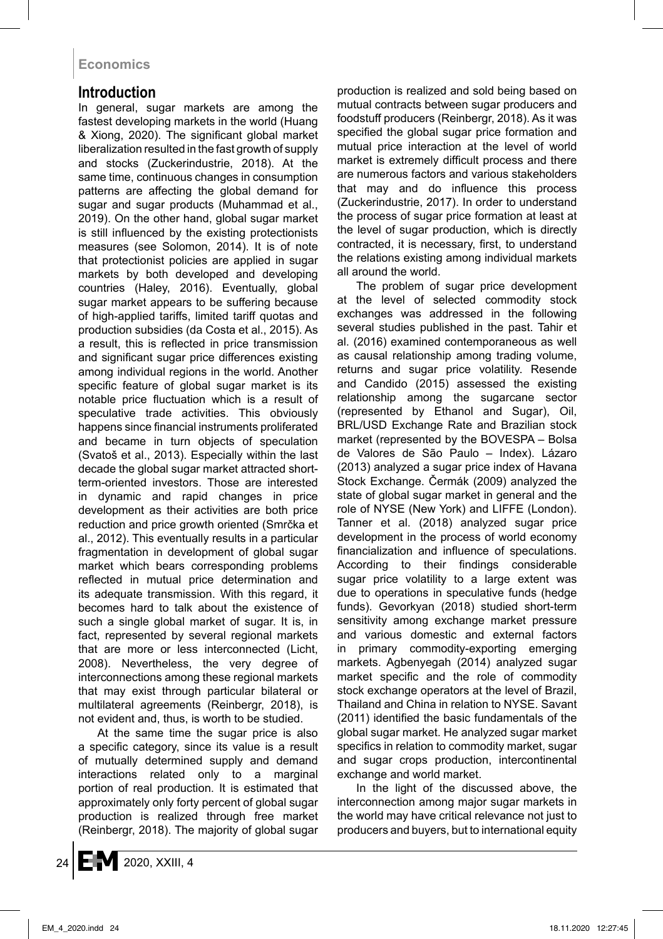## **Introduction**

In general, sugar markets are among the fastest developing markets in the world (Huang & Xiong, 2020). The significant global market liberalization resulted in the fast growth of supply and stocks (Zuckerindustrie, 2018). At the same time, continuous changes in consumption patterns are affecting the global demand for sugar and sugar products (Muhammad et al., 2019). On the other hand, global sugar market is still influenced by the existing protectionists measures (see Solomon, 2014). It is of note that protectionist policies are applied in sugar markets by both developed and developing countries (Haley, 2016). Eventually, global sugar market appears to be suffering because of high-applied tariffs, limited tariff quotas and production subsidies (da Costa et al., 2015). As a result, this is reflected in price transmission and significant sugar price differences existing among individual regions in the world. Another specific feature of global sugar market is its notable price fluctuation which is a result of speculative trade activities. This obviously happens since financial instruments proliferated and became in turn objects of speculation (Svatoš et al., 2013). Especially within the last decade the global sugar market attracted shortterm-oriented investors. Those are interested in dynamic and rapid changes in price development as their activities are both price reduction and price growth oriented (Smrčka et al., 2012). This eventually results in a particular fragmentation in development of global sugar market which bears corresponding problems reflected in mutual price determination and its adequate transmission. With this regard, it becomes hard to talk about the existence of such a single global market of sugar. It is, in fact, represented by several regional markets that are more or less interconnected (Licht, 2008). Nevertheless, the very degree of interconnections among these regional markets that may exist through particular bilateral or multilateral agreements (Reinbergr, 2018), is not evident and, thus, is worth to be studied.

At the same time the sugar price is also a specific category, since its value is a result of mutually determined supply and demand interactions related only to a marginal portion of real production. It is estimated that approximately only forty percent of global sugar production is realized through free market (Reinbergr, 2018). The majority of global sugar production is realized and sold being based on mutual contracts between sugar producers and foodstuff producers (Reinbergr, 2018). As it was specified the global sugar price formation and mutual price interaction at the level of world market is extremely difficult process and there are numerous factors and various stakeholders that may and do influence this process (Zuckerindustrie, 2017). In order to understand the process of sugar price formation at least at the level of sugar production, which is directly contracted, it is necessary, first, to understand the relations existing among individual markets all around the world.

The problem of sugar price development at the level of selected commodity stock exchanges was addressed in the following several studies published in the past. Tahir et al. (2016) examined contemporaneous as well as causal relationship among trading volume, returns and sugar price volatility. Resende and Candido (2015) assessed the existing relationship among the sugarcane sector (represented by Ethanol and Sugar), Oil, BRL/USD Exchange Rate and Brazilian stock market (represented by the BOVESPA – Bolsa de Valores de São Paulo – Index). Lázaro (2013) analyzed a sugar price index of Havana Stock Exchange. Čermák (2009) analyzed the state of global sugar market in general and the role of NYSE (New York) and LIFFE (London). Tanner et al. (2018) analyzed sugar price development in the process of world economy financialization and influence of speculations. According to their findings considerable sugar price volatility to a large extent was due to operations in speculative funds (hedge funds). Gevorkyan (2018) studied short-term sensitivity among exchange market pressure and various domestic and external factors in primary commodity-exporting emerging markets. Agbenyegah (2014) analyzed sugar market specific and the role of commodity stock exchange operators at the level of Brazil, Thailand and China in relation to NYSE. Savant (2011) identified the basic fundamentals of the global sugar market. He analyzed sugar market specifics in relation to commodity market, sugar and sugar crops production, intercontinental exchange and world market.

In the light of the discussed above, the interconnection among major sugar markets in the world may have critical relevance not just to producers and buyers, but to international equity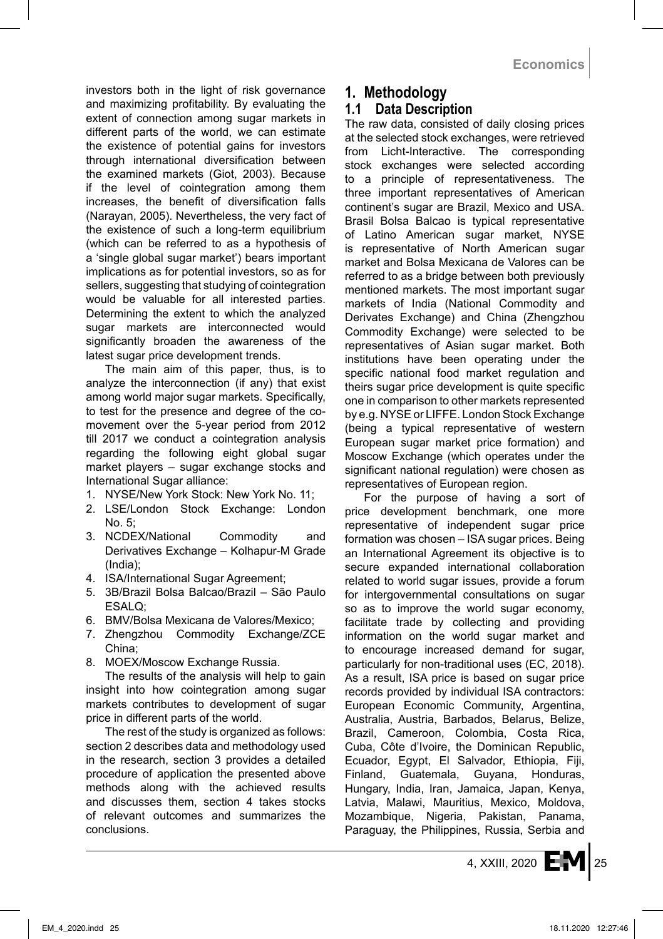investors both in the light of risk governance and maximizing profitability. By evaluating the extent of connection among sugar markets in different parts of the world, we can estimate the existence of potential gains for investors through international diversification between the examined markets (Giot, 2003). Because if the level of cointegration among them increases, the benefit of diversification falls (Narayan, 2005). Nevertheless, the very fact of the existence of such a long-term equilibrium (which can be referred to as a hypothesis of a 'single global sugar market') bears important implications as for potential investors, so as for sellers, suggesting that studying of cointegration would be valuable for all interested parties. Determining the extent to which the analyzed sugar markets are interconnected would significantly broaden the awareness of the latest sugar price development trends.

The main aim of this paper, thus, is to analyze the interconnection (if any) that exist among world major sugar markets. Specifically, to test for the presence and degree of the comovement over the 5-year period from 2012 till 2017 we conduct a cointegration analysis regarding the following eight global sugar market players – sugar exchange stocks and International Sugar alliance:

- 1. NYSE/New York Stock: New York No. 11;
- 2. LSE/London Stock Exchange: London No. 5;
- 3. NCDEX/National Commodity and Derivatives Exchange – Kolhapur-M Grade (India);
- 4. ISA/International Sugar Agreement;
- 5. 3B/Brazil Bolsa Balcao/Brazil São Paulo ESALQ;
- 6. BMV/Bolsa Mexicana de Valores/Mexico;
- 7. Zhengzhou Commodity Exchange/ZCE China;
- 8. MOEX/Moscow Exchange Russia.

The results of the analysis will help to gain insight into how cointegration among sugar markets contributes to development of sugar price in different parts of the world.

The rest of the study is organized as follows: section 2 describes data and methodology used in the research, section 3 provides a detailed procedure of application the presented above methods along with the achieved results and discusses them, section 4 takes stocks of relevant outcomes and summarizes the conclusions.

## **1. Methodology**

#### **1.1 Data Description**

The raw data, consisted of daily closing prices at the selected stock exchanges, were retrieved from Licht-Interactive. The corresponding stock exchanges were selected according to a principle of representativeness. The three important representatives of American continent's sugar are Brazil, Mexico and USA. Brasil Bolsa Balcao is typical representative of Latino American sugar market, NYSE is representative of North American sugar market and Bolsa Mexicana de Valores can be referred to as a bridge between both previously mentioned markets. The most important sugar markets of India (National Commodity and Derivates Exchange) and China (Zhengzhou Commodity Exchange) were selected to be representatives of Asian sugar market. Both institutions have been operating under the specific national food market regulation and theirs sugar price development is quite specific one in comparison to other markets represented by e.g. NYSE or LIFFE. London Stock Exchange (being a typical representative of western European sugar market price formation) and Moscow Exchange (which operates under the significant national regulation) were chosen as representatives of European region.

For the purpose of having a sort of price development benchmark, one more representative of independent sugar price formation was chosen – ISA sugar prices. Being an International Agreement its objective is to secure expanded international collaboration related to world sugar issues, provide a forum for intergovernmental consultations on sugar so as to improve the world sugar economy, facilitate trade by collecting and providing information on the world sugar market and to encourage increased demand for sugar, particularly for non-traditional uses (EC, 2018). As a result, ISA price is based on sugar price records provided by individual ISA contractors: European Economic Community, Argentina, Australia, Austria, Barbados, Belarus, Belize, Brazil, Cameroon, Colombia, Costa Rica, Cuba, Côte d'Ivoire, the Dominican Republic, Ecuador, Egypt, El Salvador, Ethiopia, Fiji, Finland, Guatemala, Guyana, Honduras, Hungary, India, Iran, Jamaica, Japan, Kenya, Latvia, Malawi, Mauritius, Mexico, Moldova, Mozambique, Nigeria, Pakistan, Panama, Paraguay, the Philippines, Russia, Serbia and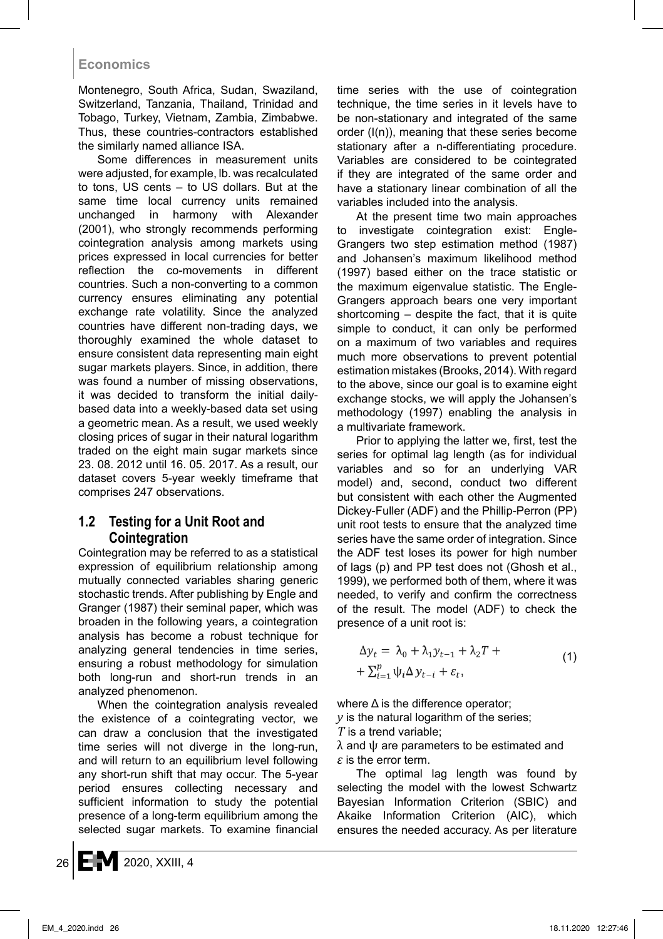Montenegro, South Africa, Sudan, Swaziland, Switzerland, Tanzania, Thailand, Trinidad and Tobago, Turkey, Vietnam, Zambia, Zimbabwe. Thus, these countries-contractors established the similarly named alliance ISA.

Some differences in measurement units were adjusted, for example, lb. was recalculated to tons, US cents – to US dollars. But at the same time local currency units remained unchanged in harmony with Alexander (2001), who strongly recommends performing cointegration analysis among markets using prices expressed in local currencies for better reflection the co-movements in different countries. Such a non-converting to a common currency ensures eliminating any potential exchange rate volatility. Since the analyzed countries have different non-trading days, we thoroughly examined the whole dataset to ensure consistent data representing main eight sugar markets players. Since, in addition, there was found a number of missing observations, it was decided to transform the initial dailybased data into a weekly-based data set using a geometric mean. As a result, we used weekly closing prices of sugar in their natural logarithm traded on the eight main sugar markets since 23. 08. 2012 until 16. 05. 2017. As a result, our dataset covers 5-year weekly timeframe that comprises 247 observations.

#### **1.2 Testing for a Unit Root and Cointegration**

Cointegration may be referred to as a statistical expression of equilibrium relationship among mutually connected variables sharing generic stochastic trends. After publishing by Engle and Granger (1987) their seminal paper, which was broaden in the following years, a cointegration analysis has become a robust technique for analyzing general tendencies in time series, ensuring a robust methodology for simulation both long-run and short-run trends in an analyzed phenomenon.

When the cointegration analysis revealed the existence of a cointegrating vector, we can draw a conclusion that the investigated time series will not diverge in the long-run, and will return to an equilibrium level following any short-run shift that may occur. The 5-year period ensures collecting necessary and sufficient information to study the potential presence of a long-term equilibrium among the selected sugar markets. To examine financial time series with the use of cointegration technique, the time series in it levels have to be non-stationary and integrated of the same order (I(n)), meaning that these series become stationary after a n-differentiating procedure. Variables are considered to be cointegrated if they are integrated of the same order and have a stationary linear combination of all the variables included into the analysis.

At the present time two main approaches to investigate cointegration exist: Engle-Grangers two step estimation method (1987) and Johansen's maximum likelihood method (1997) based either on the trace statistic or the maximum eigenvalue statistic. The Engle-Grangers approach bears one very important shortcoming – despite the fact, that it is quite simple to conduct, it can only be performed on a maximum of two variables and requires much more observations to prevent potential estimation mistakes (Brooks, 2014). With regard to the above, since our goal is to examine eight exchange stocks, we will apply the Johansen's methodology (1997) enabling the analysis in a multivariate framework.

Prior to applying the latter we, first, test the series for optimal lag length (as for individual variables and so for an underlying VAR model) and, second, conduct two different but consistent with each other the Augmented Dickey-Fuller (ADF) and the Phillip-Perron (PP) unit root tests to ensure that the analyzed time series have the same order of integration. Since the ADF test loses its power for high number of lags (p) and PP test does not (Ghosh et al., 1999), we performed both of them, where it was needed, to verify and confirm the correctness of the result. The model (ADF) to check the presence of a unit root is:

$$
\Delta y_t = \lambda_0 + \lambda_1 y_{t-1} + \lambda_2 T +
$$
  
+ 
$$
\sum_{i=1}^p \psi_i \Delta y_{t-i} + \varepsilon_t,
$$
 (1)

where Δ is the difference operator;

*y* is the natural logarithm of the series;

*T* is a trend variable;

 $\lambda$  and  $\psi$  are parameters to be estimated and *ε* is the error term.

The optimal lag length was found by selecting the model with the lowest Schwartz Bayesian Information Criterion (SBIC) and Akaike Information Criterion (AIC), which ensures the needed accuracy. As per literature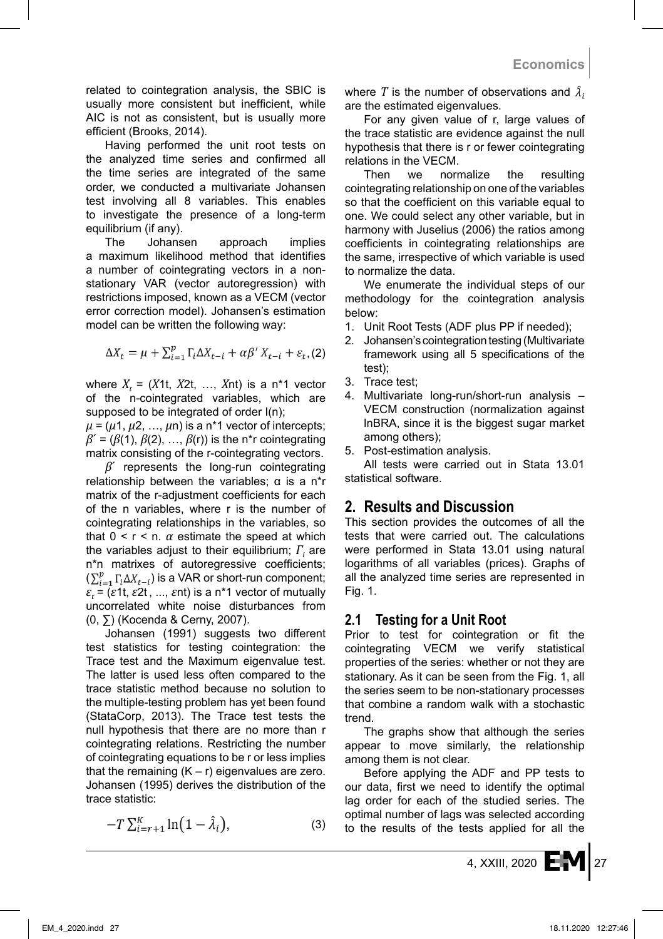related to cointegration analysis, the SBIC is usually more consistent but inefficient, while AIC is not as consistent, but is usually more efficient (Brooks, 2014).

Having performed the unit root tests on the analyzed time series and confirmed all the time series are integrated of the same order, we conducted a multivariate Johansen test involving all 8 variables. This enables to investigate the presence of a long-term equilibrium (if any).

The Johansen approach implies a maximum likelihood method that identifies a number of cointegrating vectors in a nonstationary VAR (vector autoregression) with restrictions imposed, known as a VECM (vector error correction model). Johansen's estimation model can be written the following way:

$$
\Delta X_t = \mu + \sum_{i=1}^p \Gamma_i \Delta X_{t-i} + \alpha \beta' X_{t-i} + \varepsilon_t, (2)
$$

where  $X_t = (X_1, X_2t, \ldots, X_nt)$  is a n<sup>\*</sup>1 vector of the n-cointegrated variables, which are supposed to be integrated of order  $I(n)$ ;

 $\mu$  = ( $\mu$ 1,  $\mu$ 2, ...,  $\mu$ n) is a n<sup>\*</sup>1 vector of intercepts;  $\beta' = (\beta(1), \beta(2), \ldots, \beta(r))$  is the n<sup>\*</sup>r cointegrating matrix consisting of the r-cointegrating vectors.

*β*´ represents the long-run cointegrating relationship between the variables;  $\alpha$  is a n<sup>\*</sup>r matrix of the r-adjustment coefficients for each of the n variables, where r is the number of cointegrating relationships in the variables, so that  $0 < r < n$ .  $\alpha$  estimate the speed at which the variables adjust to their equilibrium; *Γ<sup>i</sup>* are n\*n matrixes of autoregressive coefficients;  $(\sum_{i=1}^p \Gamma_i \Delta X_{t-i})$  is a VAR or short-run component; *ε<sup>t</sup>* = (*ε*1t, *ε*2t , ..., *ε*nt) is a n\*1 vector of mutually uncorrelated white noise disturbances from (0, ∑) (Kocenda & Cerny, 2007).

Johansen (1991) suggests two different test statistics for testing cointegration: the Trace test and the Maximum eigenvalue test. The latter is used less often compared to the trace statistic method because no solution to the multiple-testing problem has yet been found (StataCorp, 2013). The Trace test tests the null hypothesis that there are no more than r cointegrating relations. Restricting the number of cointegrating equations to be r or less implies that the remaining  $(K - r)$  eigenvalues are zero. Johansen (1995) derives the distribution of the trace statistic:

$$
-T\sum_{i=r+1}^{K}\ln(1-\hat{\lambda}_i),\tag{3}
$$

where *T* is the number of observations and  $\lambda_i$ are the estimated eigenvalues.

For any given value of r, large values of the trace statistic are evidence against the null hypothesis that there is r or fewer cointegrating relations in the VECM.

Then we normalize the resulting cointegrating relationship on one of the variables so that the coefficient on this variable equal to one. We could select any other variable, but in harmony with Juselius (2006) the ratios among coefficients in cointegrating relationships are the same, irrespective of which variable is used to normalize the data.

We enumerate the individual steps of our methodology for the cointegration analysis below:

- 1. Unit Root Tests (ADF plus PP if needed);
- 2. Johansen's cointegration testing (Multivariate framework using all 5 specifications of the test);
- 3. Trace test;
- 4. Multivariate long-run/short-run analysis VECM construction (normalization against lnBRA, since it is the biggest sugar market among others);
- 5. Post-estimation analysis.

All tests were carried out in Stata 13.01 statistical software.

## **2. Results and Discussion**

This section provides the outcomes of all the tests that were carried out. The calculations were performed in Stata 13.01 using natural logarithms of all variables (prices). Graphs of all the analyzed time series are represented in Fig. 1.

## **2.1 Testing for a Unit Root**

Prior to test for cointegration or fit the cointegrating VECM we verify statistical properties of the series: whether or not they are stationary. As it can be seen from the Fig. 1, all the series seem to be non-stationary processes that combine a random walk with a stochastic trend.

The graphs show that although the series appear to move similarly, the relationship among them is not clear.

Before applying the ADF and PP tests to our data, first we need to identify the optimal lag order for each of the studied series. The optimal number of lags was selected according to the results of the tests applied for all the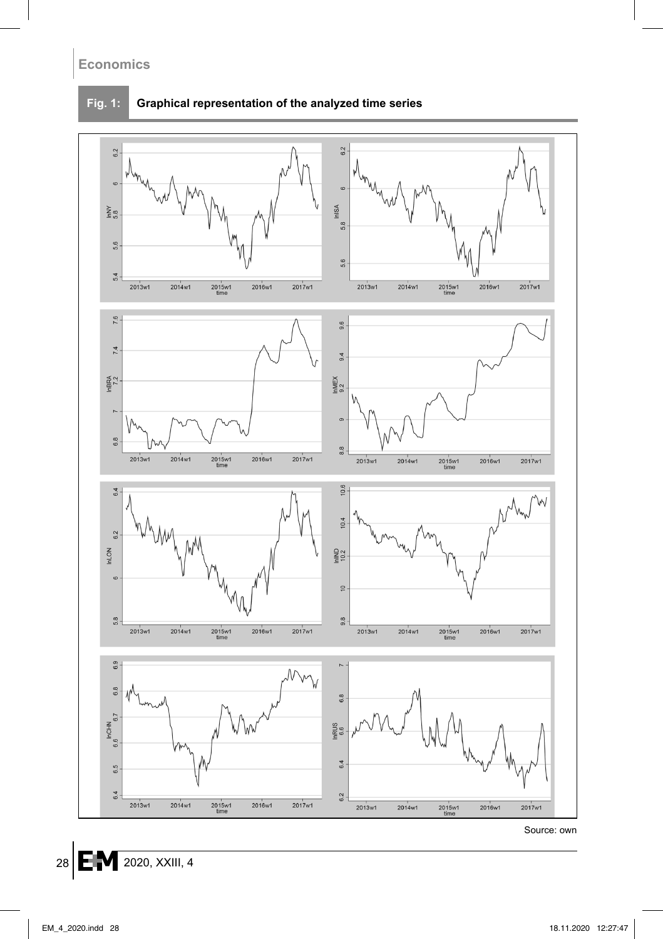#### **Fig. 1: Graphical representation of the analyzed time series**



Source: own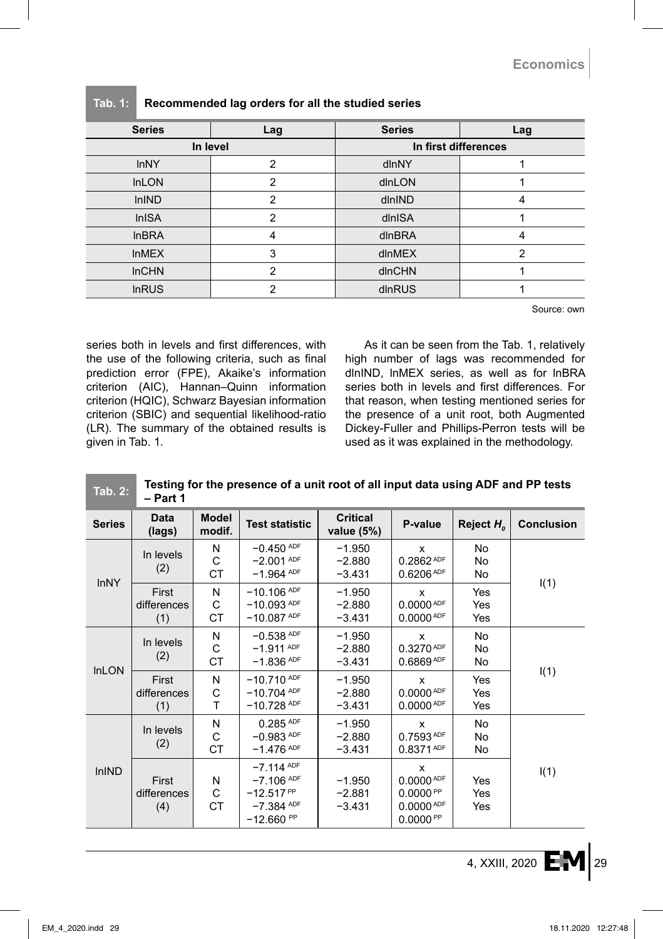| <b>Series</b> | Lag           | <b>Series</b>        | Lag |  |
|---------------|---------------|----------------------|-----|--|
|               | In level      | In first differences |     |  |
| <b>InNY</b>   | 2             | dlnNY                |     |  |
| <b>InLON</b>  | 2             | dlnLON               |     |  |
| <b>InIND</b>  | $\mathcal{P}$ | dlnIND               |     |  |
| <b>InISA</b>  | 2             | dlnISA               |     |  |
| <b>InBRA</b>  | 4             | dlnBRA               | 4   |  |
| <b>InMEX</b>  | 3             | dlnMEX               | 2   |  |
| <b>InCHN</b>  | $\mathcal{P}$ | dlnCHN               |     |  |
| <b>InRUS</b>  | 2             | dlnRUS               |     |  |

#### **Tab. 1: Recommended lag orders for all the studied series**

Source: own

series both in levels and first differences, with the use of the following criteria, such as final prediction error (FPE), Akaike's information criterion (AIC), Hannan–Quinn information criterion (HQIC), Schwarz Bayesian information criterion (SBIC) and sequential likelihood-ratio (LR). The summary of the obtained results is given in Tab. 1*.*

As it can be seen from the Tab. 1, relatively high number of lags was recommended for dlnIND, InMEX series, as well as for InBRA series both in levels and first differences. For that reason, when testing mentioned series for the presence of a unit root, both Augmented Dickey-Fuller and Phillips-Perron tests will be used as it was explained in the methodology.

| <b>Tab. 2:</b> | Testing for the presence of a unit root of all input data using ADF and PP tests<br>- Part 1 |                        |                                                                                |                                  |                                                                                       |                   |                   |  |
|----------------|----------------------------------------------------------------------------------------------|------------------------|--------------------------------------------------------------------------------|----------------------------------|---------------------------------------------------------------------------------------|-------------------|-------------------|--|
| <b>Series</b>  | Data<br>(lags)                                                                               | <b>Model</b><br>modif. | <b>Test statistic</b>                                                          | <b>Critical</b><br>value (5%)    | P-value                                                                               | Reject $H_{o}$    | <b>Conclusion</b> |  |
|                | In levels<br>(2)                                                                             | N<br>C<br><b>CT</b>    | $-0.450$ ADF<br>$-2.001$ ADF<br>$-1.964$ ADF                                   | $-1.950$<br>$-2.880$<br>$-3.431$ | x<br>$0.2862^{\text{ADF}}$<br>$0.6206$ ADF                                            | No.<br>No<br>No   |                   |  |
| <b>InNY</b>    | First<br>differences<br>(1)                                                                  | N<br>C<br><b>CT</b>    | $-10.106$ ADF<br>$-10.093$ ADF<br>$-10.087$ ADF                                | $-1.950$<br>$-2.880$<br>$-3.431$ | X<br>0.0000 <sup>ADF</sup><br>$0.0000^{ADF}$                                          | Yes<br>Yes<br>Yes | I(1)              |  |
| <b>InLON</b>   | In levels<br>(2)                                                                             | N<br>C<br>СT           | $-0.538$ ADF<br>$-1.911$ ADF<br>$-1.836$ ADF                                   | $-1.950$<br>$-2.880$<br>$-3.431$ | x<br>$0.3270^{ADF}$<br>$0.6869^{ADF}$                                                 | No<br>No<br>No    |                   |  |
|                | First<br>differences<br>(1)                                                                  | N<br>C<br>T            | $-10.710$ ADF<br>$-10.704$ ADF<br>$-10.728$ ADF                                | $-1.950$<br>$-2.880$<br>$-3.431$ | x<br>0.0000 <sup>ADF</sup><br>0.0000 <sup>APF</sup>                                   | Yes<br>Yes<br>Yes | I(1)              |  |
| <b>InIND</b>   | In levels<br>(2)                                                                             | N<br>C<br><b>CT</b>    | $0.285$ ADF<br>$-0.983$ ADF<br>$-1.476$ ADF                                    | $-1.950$<br>$-2.880$<br>$-3.431$ | X<br>$0.7593$ ADF<br>$0.8371^{ADF}$                                                   | No<br>No<br>No    |                   |  |
|                | First<br>differences<br>(4)                                                                  | N<br>C<br>СT           | $-7.114$ ADF<br>$-7.106$ ADF<br>$-12.517^{PP}$<br>$-7.384$ ADF<br>$-12.660$ PP | $-1.950$<br>$-2.881$<br>$-3.431$ | x<br>$0.0000^{ADF}$<br>0.0000 <sup>PP</sup><br>0.0000 <sup>ADF</sup><br>$0.0000^{PP}$ | Yes<br>Yes<br>Yes | I(1)              |  |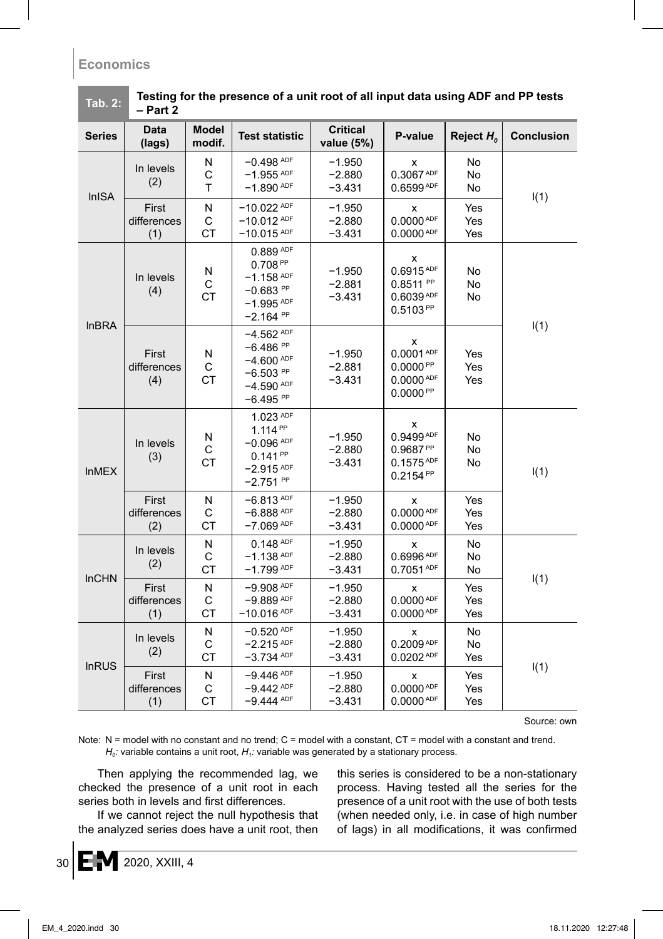| Tab. 2:                          | - Part 2                    |                                             |                                                                                                |                                   |                                                                                              |                   |                   |  |
|----------------------------------|-----------------------------|---------------------------------------------|------------------------------------------------------------------------------------------------|-----------------------------------|----------------------------------------------------------------------------------------------|-------------------|-------------------|--|
| <b>Series</b>                    | <b>Data</b><br>(lags)       | Model<br>modif.                             | <b>Test statistic</b>                                                                          | <b>Critical</b><br>value (5%)     | P-value                                                                                      | Reject $H_0$      | <b>Conclusion</b> |  |
| <b>InISA</b>                     | In levels<br>(2)            | N<br>C<br>T                                 | $-0.498$ ADF<br>$-1.955$ ADF<br>$-1.890$ ADF                                                   | $-1.950$<br>$-2.880$<br>$-3.431$  | x<br>$0.3067^{\text{ADF}}$<br>$0.6599^{ADF}$                                                 | No<br>No<br>No    | I(1)              |  |
|                                  | First<br>differences<br>(1) | N<br>C<br><b>CT</b>                         | $-10.022$ ADF<br>$-10.012$ ADF<br>$-10.015$ ADF                                                | $-1.950$<br>$-2.880$<br>$-3.431$  | x<br>$0.0000^{ADF}$<br>0.0000 <sup>ADF</sup>                                                 | Yes<br>Yes<br>Yes |                   |  |
|                                  | In levels<br>(4)            | N<br>C<br><b>CT</b>                         | 0.889 ADF<br>0.708 <sup>PP</sup><br>$-1.158$ ADF<br>$-0.683$ PP<br>$-1.995$ ADF<br>$-2.164$ PP | $-1.950$<br>$-2.881$<br>$-3.431$  | х<br>$0.6915^{ADF}$<br>$0.8511^{PP}$<br>$0.6039^{ADF}$<br>$0.5103^{PP}$                      | No<br>No<br>No    |                   |  |
| <b>InBRA</b>                     | First<br>differences<br>(4) | N<br>C<br>СT                                | $-4.562$ ADF<br>$-6.486$ PP<br>$-4.600$ ADF<br>$-6.503$ PP<br>$-4.590$ ADF<br>$-6.495$ PP      | $-1.950$<br>$-2.881$<br>-3.431    | x<br>$0.0001^{ADF}$<br>0.0000 <sup>PP</sup><br>0.0000 <sup>ADF</sup><br>0.0000 <sup>PP</sup> | Yes<br>Yes<br>Yes | I(1)              |  |
| <b>InMEX</b>                     | In levels<br>(3)            | N<br>С<br><b>CT</b>                         | 1.023 ADF<br>$1.114^{PP}$<br>$-0.096$ ADF<br>$0.141^{PP}$<br>$-2.915$ ADF<br>$-2.751^{PP}$     | $-1.950$<br>$-2.880$<br>-3.431    | x<br>$0.9499^{ADF}$<br>0.9687 <sup>PP</sup><br>$0.1575^{ADF}$<br>$0.2154^{PP}$               | No.<br>No<br>No   | I(1)              |  |
|                                  | First<br>differences<br>(2) | N<br>$\mathsf{C}$<br>СT                     | $-6.813$ ADF<br>$-6.888$ ADF<br>$-7.069$ ADF                                                   | $-1.950$<br>$-2.880$<br>$-3.431$  | x<br>0.0000 <sup>ADF</sup><br>0.0000 <sup>ADF</sup>                                          | Yes<br>Yes<br>Yes |                   |  |
| In levels<br>(2)<br><b>InCHN</b> | N<br>С<br>СT                | $0.148$ ADF<br>$-1.138$ ADF<br>$-1.799$ ADF | $-1.950$<br>$-2.880$<br>$-3.431$                                                               | x<br>0.6996 ADF<br>$0.7051^{ADF}$ | No<br>No<br>No                                                                               | I(1)              |                   |  |
|                                  | First<br>differences<br>(1) | N<br>C<br>СT                                | $-9.908$ ADF<br>$-9.889$ ADF<br>$-10.016$ ADF                                                  | $-1.950$<br>$-2.880$<br>$-3.431$  | x<br>$0.0000^{ADF}$<br>0.0000 <sup>ADF</sup>                                                 | Yes<br>Yes<br>Yes |                   |  |
| <b>InRUS</b>                     | In levels<br>(2)            | N<br>C<br>СT                                | $-0.520$ ADF<br>$-2.215$ ADF<br>$-3.734$ ADF                                                   | $-1.950$<br>$-2.880$<br>$-3.431$  | x<br>$0.2009^{ADF}$<br>0.0202 <sup>ADF</sup>                                                 | No<br>No<br>Yes   | I(1)              |  |
|                                  | First<br>differences<br>(1) | N<br>С<br><b>CT</b>                         | $-9.446$ ADF<br>$-9.442$ ADF<br>$-9.444$ ADF                                                   | $-1.950$<br>$-2.880$<br>$-3.431$  | x<br>0.0000 <sup>ADF</sup><br>0.0000 <sup>ADF</sup>                                          | Yes<br>Yes<br>Yes |                   |  |

**Tab. 2: Testing for the presence of a unit root of all input data using ADF and PP tests** 

Source: own

Note: N = model with no constant and no trend; C = model with a constant, CT = model with a constant and trend.  $H_0$ : variable contains a unit root,  $H_1$ : variable was generated by a stationary process.

Then applying the recommended lag, we checked the presence of a unit root in each series both in levels and first differences.

If we cannot reject the null hypothesis that the analyzed series does have a unit root, then this series is considered to be a non-stationary process. Having tested all the series for the presence of a unit root with the use of both tests (when needed only, i.e. in case of high number of lags) in all modifications, it was confirmed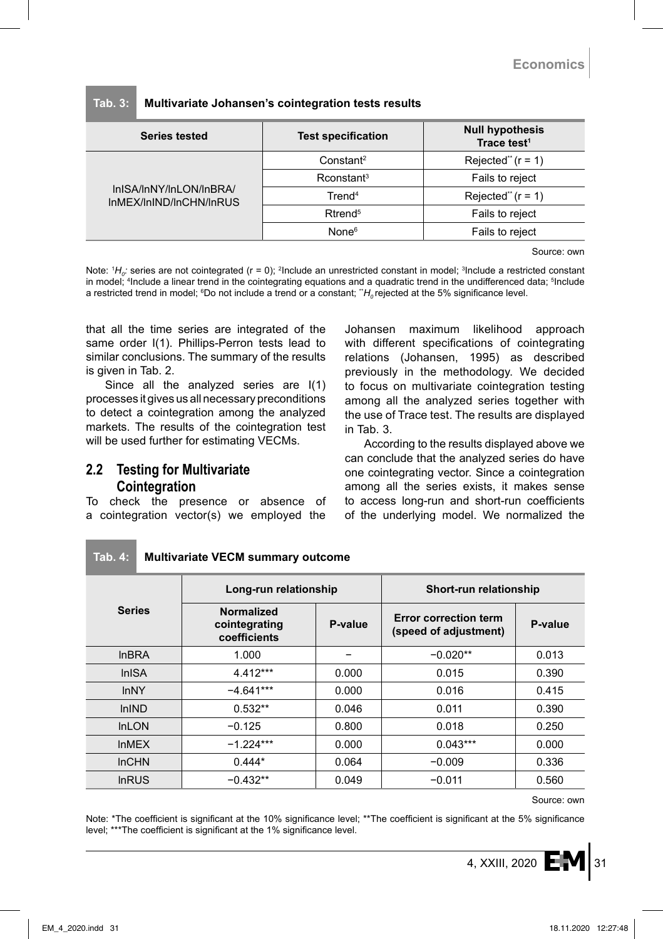| <b>Series tested</b>                               | <b>Test specification</b> | <b>Null hypothesis</b><br>Trace test <sup>1</sup> |  |  |
|----------------------------------------------------|---------------------------|---------------------------------------------------|--|--|
| InISA/InNY/InLON/InBRA/<br>InMEX/InIND/InCHN/InRUS | Constant <sup>2</sup>     | Rejected" $(r = 1)$                               |  |  |
|                                                    | Rconstant <sup>3</sup>    | Fails to reject                                   |  |  |
|                                                    | Trend <sup>4</sup>        | Rejected" $(r = 1)$                               |  |  |
|                                                    | $R$ trend <sup>5</sup>    | Fails to reject                                   |  |  |
|                                                    | None <sup>6</sup>         | Fails to reject                                   |  |  |
|                                                    |                           |                                                   |  |  |

#### **Tab. 3: Multivariate Johansen's cointegration tests results**

Source: own

Note: <sup>1</sup>H<sub>o</sub>: series are not cointegrated (r = 0); <sup>2</sup>Include an unrestricted constant in model; <sup>3</sup>Include a restricted constant in model; 4 Include a linear trend in the cointegrating equations and a quadratic trend in the undifferenced data; 5 Include a restricted trend in model; <sup>s</sup>Do not include a trend or a constant; ¨*H<sub>o</sub>* rejected at the 5% significance level.

that all the time series are integrated of the same order I(1). Phillips-Perron tests lead to similar conclusions. The summary of the results is given in Tab. 2.

Since all the analyzed series are I(1) processes it gives us all necessary preconditions to detect a cointegration among the analyzed markets. The results of the cointegration test will be used further for estimating VECMs.

#### **2.2 Testing for Multivariate Cointegration**

To check the presence or absence of a cointegration vector(s) we employed the Johansen maximum likelihood approach with different specifications of cointegrating relations (Johansen, 1995) as described previously in the methodology. We decided to focus on multivariate cointegration testing among all the analyzed series together with the use of Trace test. The results are displayed in Tab. 3.

According to the results displayed above we can conclude that the analyzed series do have one cointegrating vector. Since a cointegration among all the series exists, it makes sense to access long-run and short-run coefficients of the underlying model. We normalized the

|               | Long-run relationship                              |         | Short-run relationship                         |         |  |
|---------------|----------------------------------------------------|---------|------------------------------------------------|---------|--|
| <b>Series</b> | <b>Normalized</b><br>cointegrating<br>coefficients | P-value | Error correction term<br>(speed of adjustment) | P-value |  |
| <b>InBRA</b>  | 1.000                                              |         | $-0.020**$                                     | 0.013   |  |
| <b>InISA</b>  | 4.412***                                           | 0.000   | 0.015                                          | 0.390   |  |
| <b>InNY</b>   | $-4.641***$                                        | 0.000   | 0.016                                          | 0.415   |  |
| <b>InIND</b>  | $0.532**$                                          | 0.046   | 0.011                                          | 0.390   |  |
| <b>InLON</b>  | $-0.125$                                           | 0.800   | 0.018                                          | 0.250   |  |
| <b>InMEX</b>  | $-1.224***$                                        | 0.000   | $0.043***$                                     | 0.000   |  |
| <b>InCHN</b>  | $0.444*$                                           | 0.064   | $-0.009$                                       | 0.336   |  |
| <b>InRUS</b>  | $-0.432**$                                         | 0.049   | $-0.011$                                       | 0.560   |  |

#### **Tab. 4: Multivariate VECM summary outcome**

Source: own

Note: \*The coefficient is significant at the 10% significance level; \*\*The coefficient is significant at the 5% significance level; \*\*\*The coefficient is significant at the 1% significance level.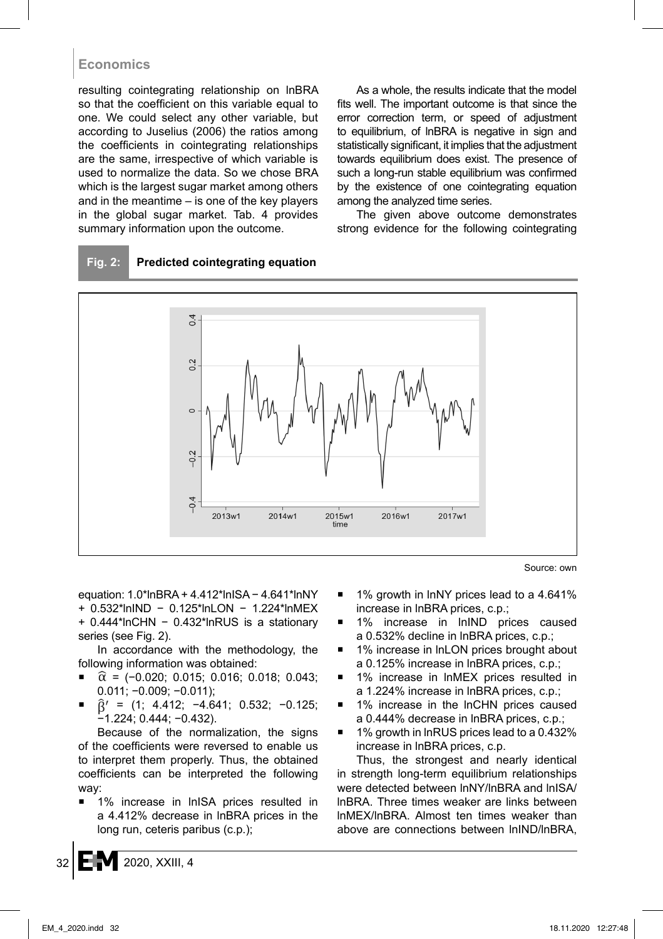resulting cointegrating relationship on lnBRA so that the coefficient on this variable equal to one. We could select any other variable, but according to Juselius (2006) the ratios among the coefficients in cointegrating relationships are the same, irrespective of which variable is used to normalize the data. So we chose BRA which is the largest sugar market among others and in the meantime – is one of the key players in the global sugar market. Tab. 4 provides summary information upon the outcome.

As a whole, the results indicate that the model fits well. The important outcome is that since the error correction term, or speed of adjustment to equilibrium, of lnBRA is negative in sign and statistically significant, it implies that the adjustment towards equilibrium does exist. The presence of such a long-run stable equilibrium was confirmed by the existence of one cointegrating equation among the analyzed time series.

The given above outcome demonstrates strong evidence for the following cointegrating

#### **Fig. 2: Predicted cointegrating equation**



Source: own

equation: 1.0\*lnBRA + 4.412\*lnISA − 4.641\*lnNY + 0.532\*lnIND − 0.125\*lnLON − 1.224\*lnMEX + 0.444\*lnCHN − 0.432\*lnRUS is a stationary series (see Fig. 2).

In accordance with the methodology, the following information was obtained:

- $\hat{\alpha}$  = (-0.020; 0.015; 0.016; 0.018; 0.043; 0.011; −0.009; −0.011);
- $\hat{B}' = (1; 4.412; -4.641; 0.532; -0.125;$ −1.224; 0.444; −0.432).

Because of the normalization, the signs of the coefficients were reversed to enable us to interpret them properly. Thus, the obtained coefficients can be interpreted the following way:

 1% increase in lnISA prices resulted in a 4.412% decrease in lnBRA prices in the long run, ceteris paribus (c.p.);

- 1% growth in lnNY prices lead to a 4.641% increase in lnBRA prices, c.p.;
- 1% increase in lnIND prices caused a 0.532% decline in lnBRA prices, c.p.;
- 1% increase in lnLON prices brought about a 0.125% increase in lnBRA prices, c.p.;
- 1% increase in lnMEX prices resulted in a 1.224% increase in lnBRA prices, c.p.;
- 1% increase in the lnCHN prices caused a 0.444% decrease in lnBRA prices, c.p.;
- 1% growth in lnRUS prices lead to a 0.432% increase in lnBRA prices, c.p.

Thus, the strongest and nearly identical in strength long-term equilibrium relationships were detected between lnNY/lnBRA and lnISA/ lnBRA. Three times weaker are links between lnMEX/lnBRA. Almost ten times weaker than above are connections between lnIND/lnBRA,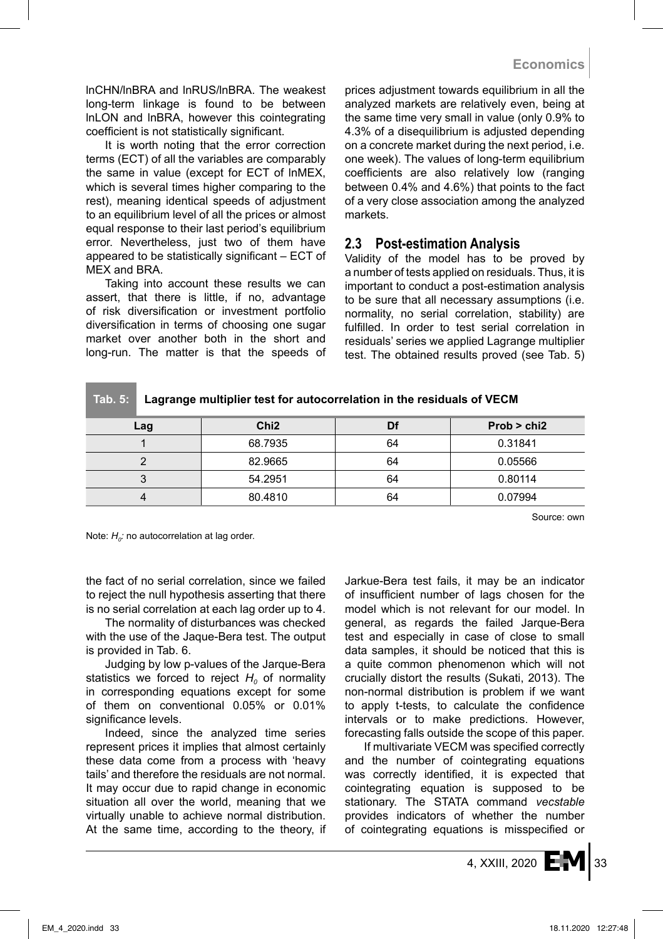lnCHN/lnBRA and lnRUS/lnBRA. The weakest long-term linkage is found to be between lnLON and lnBRA, however this cointegrating coefficient is not statistically significant.

It is worth noting that the error correction terms (ECT) of all the variables are comparably the same in value (except for ECT of lnMEX, which is several times higher comparing to the rest), meaning identical speeds of adjustment to an equilibrium level of all the prices or almost equal response to their last period's equilibrium error. Nevertheless, just two of them have appeared to be statistically significant – ECT of MEX and BRA.

Taking into account these results we can assert, that there is little, if no, advantage of risk diversification or investment portfolio diversification in terms of choosing one sugar market over another both in the short and long-run. The matter is that the speeds of prices adjustment towards equilibrium in all the analyzed markets are relatively even, being at the same time very small in value (only 0.9% to 4.3% of a disequilibrium is adjusted depending on a concrete market during the next period, i.e. one week). The values of long-term equilibrium coefficients are also relatively low (ranging between 0.4% and 4.6%) that points to the fact of a very close association among the analyzed markets.

#### **2.3 Post-estimation Analysis**

Validity of the model has to be proved by a number of tests applied on residuals. Thus, it is important to conduct a post-estimation analysis to be sure that all necessary assumptions (i.e. normality, no serial correlation, stability) are fulfilled. In order to test serial correlation in residuals' series we applied Lagrange multiplier test. The obtained results proved (see Tab. 5)

**Tab. 5: Lagrange multiplier test for autocorrelation in the residuals of VECM**

| Lag | Chi <sub>2</sub> | Df | Prob > chi2 |
|-----|------------------|----|-------------|
|     | 68.7935          | 64 | 0.31841     |
|     | 82.9665          | 64 | 0.05566     |
|     | 54.2951          | 64 | 0.80114     |
|     | 80.4810          | 64 | 0.07994     |

Source: own

Note:  $H<sub>0</sub>$ : no autocorrelation at lag order.

the fact of no serial correlation, since we failed to reject the null hypothesis asserting that there is no serial correlation at each lag order up to 4.

The normality of disturbances was checked with the use of the Jaque-Bera test. The output is provided in Tab. 6.

Judging by low p-values of the Jarque-Bera statistics we forced to reject  $H_0$  of normality in corresponding equations except for some of them on conventional 0.05% or 0.01% significance levels.

Indeed, since the analyzed time series represent prices it implies that almost certainly these data come from a process with 'heavy tails' and therefore the residuals are not normal. It may occur due to rapid change in economic situation all over the world, meaning that we virtually unable to achieve normal distribution. At the same time, according to the theory, if Jarkue-Bera test fails, it may be an indicator of insufficient number of lags chosen for the model which is not relevant for our model. In general, as regards the failed Jarque-Bera test and especially in case of close to small data samples, it should be noticed that this is a quite common phenomenon which will not crucially distort the results (Sukati, 2013). The non-normal distribution is problem if we want to apply t-tests, to calculate the confidence intervals or to make predictions. However, forecasting falls outside the scope of this paper.

If multivariate VECM was specified correctly and the number of cointegrating equations was correctly identified, it is expected that cointegrating equation is supposed to be stationary. The STATA command *vecstable* provides indicators of whether the number of cointegrating equations is misspecified or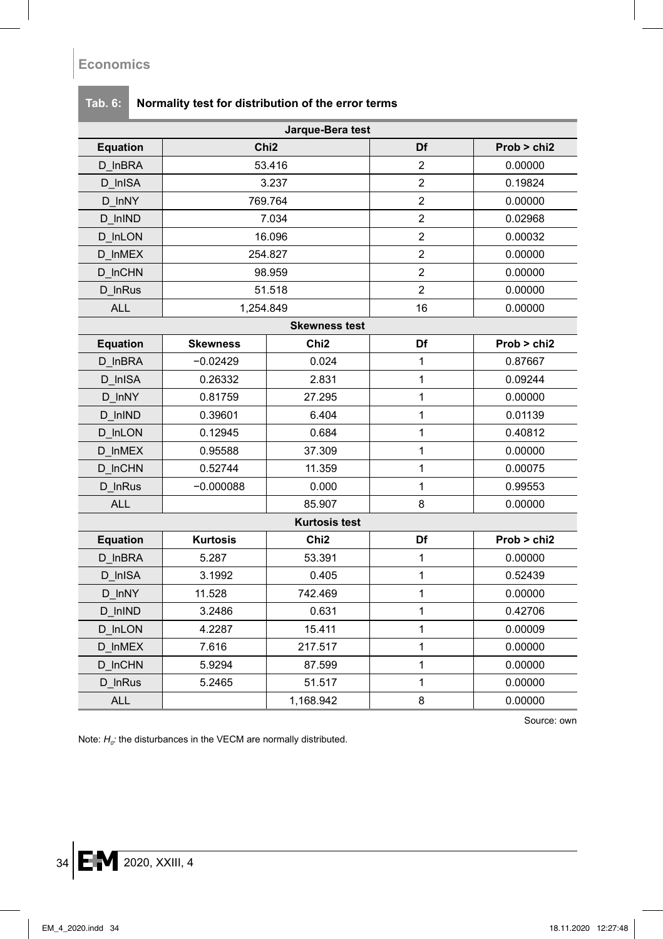|                 |                  | Jarque-Bera test     |                |             |
|-----------------|------------------|----------------------|----------------|-------------|
| <b>Equation</b> | Chi <sub>2</sub> |                      | Df             | Prob > chi2 |
| D_InBRA         | 53.416           |                      | $\overline{c}$ | 0.00000     |
| D InISA         |                  | 3.237                | $\overline{c}$ | 0.19824     |
| D InNY          |                  | 769.764              | $\overline{c}$ | 0.00000     |
| D InIND         |                  | 7.034                | $\overline{2}$ | 0.02968     |
| D InLON         |                  | 16.096               | $\overline{c}$ | 0.00032     |
| D InMEX         |                  | 254.827              | $\overline{c}$ | 0.00000     |
| D_InCHN         |                  | 98.959               | $\overline{2}$ | 0.00000     |
| D InRus         |                  | 51.518               | $\overline{2}$ | 0.00000     |
| <b>ALL</b>      | 1,254.849        |                      | 16             | 0.00000     |
|                 |                  | <b>Skewness test</b> |                |             |
| Equation        | <b>Skewness</b>  | Chi <sub>2</sub>     | Df             | Prob > chi2 |
| D InBRA         | $-0.02429$       | 0.024                | $\mathbf{1}$   | 0.87667     |
| D InISA         | 0.26332          | 2.831                | 1              | 0.09244     |
| D InNY          | 0.81759          | 27.295               | 1              | 0.00000     |
| D InIND         | 0.39601          | 6.404                | $\mathbf{1}$   | 0.01139     |
| D InLON         | 0.12945          | 0.684                | 1              | 0.40812     |
| D InMEX         | 0.95588          | 37.309               | $\mathbf{1}$   | 0.00000     |
| D InCHN         | 0.52744          | 11.359               | $\mathbf{1}$   | 0.00075     |
| D InRus         | $-0.000088$      | 0.000                | $\mathbf{1}$   | 0.99553     |
| <b>ALL</b>      |                  | 85.907               | 8              | 0.00000     |
|                 |                  | <b>Kurtosis test</b> |                |             |
| <b>Equation</b> | <b>Kurtosis</b>  | Chi <sub>2</sub>     | Df             | Prob > chi2 |
| D_InBRA         | 5.287            | 53.391               | $\mathbf{1}$   | 0.00000     |
| D InISA         | 3.1992           | 0.405                | 1              | 0.52439     |
| D_InNY          | 11.528           | 742.469              | $\mathbf{1}$   | 0.00000     |
| D_InIND         | 3.2486           | 0.631                | $\mathbf{1}$   | 0.42706     |
| D_InLON         | 4.2287           | 15.411               | 1              | 0.00009     |
| D InMEX         | 7.616            | 217.517              | 1              | 0.00000     |
| D_InCHN         | 5.9294           | 87.599               | $\mathbf{1}$   | 0.00000     |
| D_InRus         | 5.2465           | 51.517               | $\mathbf{1}$   | 0.00000     |
| <b>ALL</b>      |                  | 1,168.942            | 8              | 0.00000     |

# **Tab. 6: Normality test for distribution of the error terms**

Source: own

Note:  $H<sub>0</sub>$ : the disturbances in the VECM are normally distributed.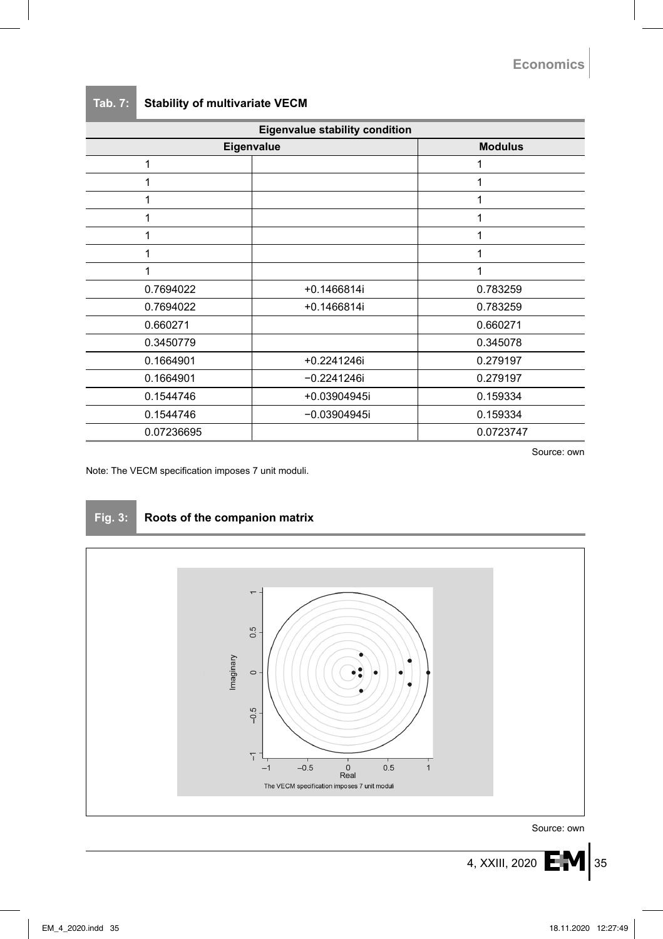#### **Tab. 7: Stability of multivariate VECM**

| Eigenvalue stability condition |                |           |  |
|--------------------------------|----------------|-----------|--|
| Eigenvalue                     | <b>Modulus</b> |           |  |
|                                |                |           |  |
|                                |                | 1         |  |
|                                |                |           |  |
|                                |                |           |  |
|                                |                | 1         |  |
|                                |                | 1         |  |
|                                |                | 1         |  |
| 0.7694022                      | +0.1466814i    | 0.783259  |  |
| 0.7694022                      | +0.1466814i    | 0.783259  |  |
| 0.660271                       |                | 0.660271  |  |
| 0.3450779                      |                | 0.345078  |  |
| 0.1664901                      | +0.2241246i    | 0.279197  |  |
| 0.1664901                      | $-0.2241246i$  | 0.279197  |  |
| 0.1544746                      | +0.03904945i   | 0.159334  |  |
| 0.1544746                      | $-0.03904945i$ | 0.159334  |  |
| 0.07236695                     |                | 0.0723747 |  |

Source: own

Note: The VECM specification imposes 7 unit moduli.



#### **Fig. 3: Roots of the companion matrix**



Source: own

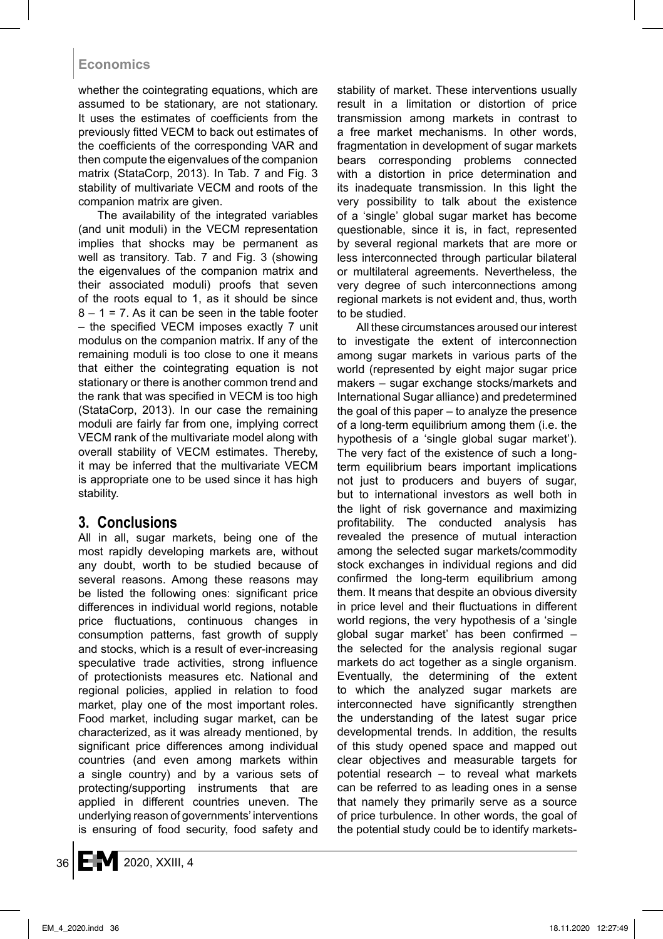whether the cointegrating equations, which are assumed to be stationary, are not stationary. It uses the estimates of coefficients from the previously fitted VECM to back out estimates of the coefficients of the corresponding VAR and then compute the eigenvalues of the companion matrix (StataCorp, 2013). In Tab. 7 and Fig. 3 stability of multivariate VECM and roots of the companion matrix are given.

The availability of the integrated variables (and unit moduli) in the VECM representation implies that shocks may be permanent as well as transitory. Tab. 7 and Fig. 3 (showing the eigenvalues of the companion matrix and their associated moduli) proofs that seven of the roots equal to 1, as it should be since  $8 - 1 = 7$ . As it can be seen in the table footer – the specified VECM imposes exactly 7 unit modulus on the companion matrix. If any of the remaining moduli is too close to one it means that either the cointegrating equation is not stationary or there is another common trend and the rank that was specified in VECM is too high (StataCorp, 2013). In our case the remaining moduli are fairly far from one, implying correct VECM rank of the multivariate model along with overall stability of VECM estimates. Thereby, it may be inferred that the multivariate VECM is appropriate one to be used since it has high stability.

## **3. Conclusions**

All in all, sugar markets, being one of the most rapidly developing markets are, without any doubt, worth to be studied because of several reasons. Among these reasons may be listed the following ones: significant price differences in individual world regions, notable price fluctuations, continuous changes in consumption patterns, fast growth of supply and stocks, which is a result of ever-increasing speculative trade activities, strong influence of protectionists measures etc. National and regional policies, applied in relation to food market, play one of the most important roles. Food market, including sugar market, can be characterized, as it was already mentioned, by significant price differences among individual countries (and even among markets within a single country) and by a various sets of protecting/supporting instruments that are applied in different countries uneven. The underlying reason of governments' interventions is ensuring of food security, food safety and stability of market. These interventions usually result in a limitation or distortion of price transmission among markets in contrast to a free market mechanisms. In other words, fragmentation in development of sugar markets bears corresponding problems connected with a distortion in price determination and its inadequate transmission. In this light the very possibility to talk about the existence of a 'single' global sugar market has become questionable, since it is, in fact, represented by several regional markets that are more or less interconnected through particular bilateral or multilateral agreements. Nevertheless, the very degree of such interconnections among regional markets is not evident and, thus, worth to be studied.

All these circumstances aroused our interest to investigate the extent of interconnection among sugar markets in various parts of the world (represented by eight major sugar price makers – sugar exchange stocks/markets and International Sugar alliance) and predetermined the goal of this paper – to analyze the presence of a long-term equilibrium among them (i.e. the hypothesis of a 'single global sugar market'). The very fact of the existence of such a longterm equilibrium bears important implications not just to producers and buyers of sugar, but to international investors as well both in the light of risk governance and maximizing profitability. The conducted analysis has revealed the presence of mutual interaction among the selected sugar markets/commodity stock exchanges in individual regions and did confirmed the long-term equilibrium among them. It means that despite an obvious diversity in price level and their fluctuations in different world regions, the very hypothesis of a 'single global sugar market' has been confirmed – the selected for the analysis regional sugar markets do act together as a single organism. Eventually, the determining of the extent to which the analyzed sugar markets are interconnected have significantly strengthen the understanding of the latest sugar price developmental trends. In addition, the results of this study opened space and mapped out clear objectives and measurable targets for potential research – to reveal what markets can be referred to as leading ones in a sense that namely they primarily serve as a source of price turbulence. In other words, the goal of the potential study could be to identify markets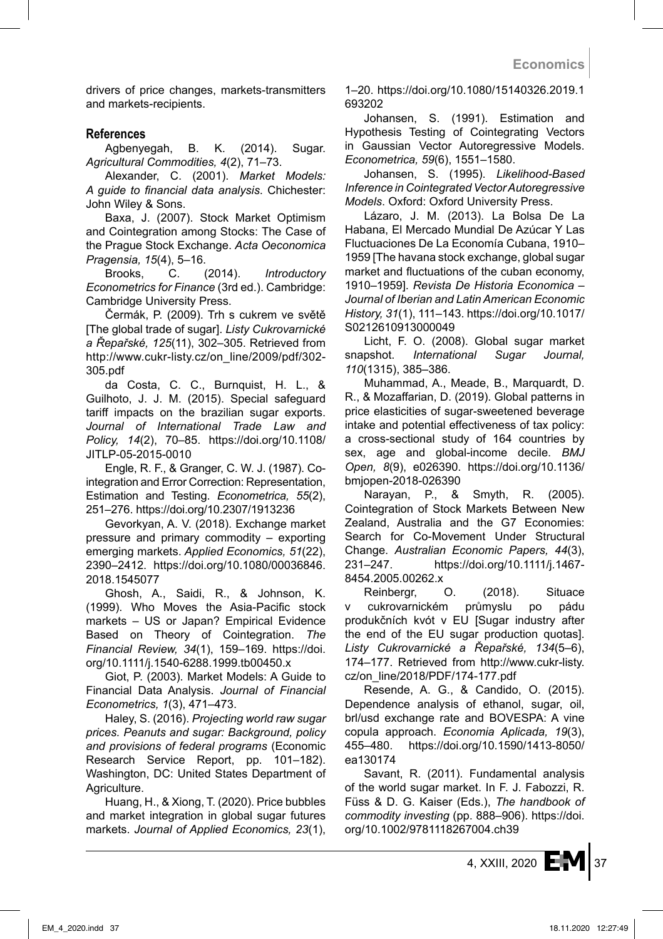drivers of price changes, markets-transmitters and markets-recipients.

#### **References**

Agbenyegah, B. K. (2014). Sugar. *Agricultural Commodities, 4*(2), 71–73.

Alexander, C. (2001). *Market Models: A guide to financial data analysis*. Chichester: John Wiley & Sons.

Baxa, J. (2007). Stock Market Optimism and Cointegration among Stocks: The Case of the Prague Stock Exchange. *Acta Oeconomica Pragensia, 15*(4), 5–16.

Brooks, C. (2014). *Introductory Econometrics for Finance* (3rd ed.). Cambridge: Cambridge University Press.

Čermák, P. (2009). Trh s cukrem ve světě [The global trade of sugar]. *Listy Cukrovarnické a Řepařské, 125*(11), 302–305. Retrieved from http://www.cukr-listy.cz/on\_line/2009/pdf/302- 305.pdf

da Costa, C. C., Burnquist, H. L., & Guilhoto, J. J. M. (2015). Special safeguard tariff impacts on the brazilian sugar exports. *Journal of International Trade Law and Policy, 14*(2), 70–85. https://doi.org/10.1108/ JITLP-05-2015-0010

Engle, R. F., & Granger, C. W. J. (1987). Cointegration and Error Correction: Representation, Estimation and Testing. *Econometrica, 55*(2), 251–276. https://doi.org/10.2307/1913236

Gevorkyan, A. V. (2018). Exchange market pressure and primary commodity – exporting emerging markets. *Applied Economics, 51*(22), 2390–2412. https://doi.org/10.1080/00036846. 2018.1545077

Ghosh, A., Saidi, R., & Johnson, K. (1999). Who Moves the Asia-Pacific stock markets – US or Japan? Empirical Evidence Based on Theory of Cointegration. *The Financial Review, 34*(1), 159–169. https://doi. org/10.1111/j.1540-6288.1999.tb00450.x

Giot, P. (2003). Market Models: A Guide to Financial Data Analysis. *Journal of Financial Econometrics, 1*(3), 471–473.

Haley, S. (2016). *Projecting world raw sugar prices. Peanuts and sugar: Background, policy and provisions of federal programs* (Economic Research Service Report, pp. 101–182). Washington, DC: United States Department of Agriculture.

Huang, H., & Xiong, T. (2020). Price bubbles and market integration in global sugar futures markets. *Journal of Applied Economics, 23*(1), 1–20. https://doi.org/10.1080/15140326.2019.1 693202

Johansen, S. (1991). Estimation and Hypothesis Testing of Cointegrating Vectors in Gaussian Vector Autoregressive Models. *Econometrica, 59*(6), 1551–1580.

Johansen, S. (1995). *Likelihood-Based Inference in Cointegrated Vector Autoregressive Models*. Oxford: Oxford University Press.

Lázaro, J. M. (2013). La Bolsa De La Habana, El Mercado Mundial De Azúcar Y Las Fluctuaciones De La Economía Cubana, 1910– 1959 [The havana stock exchange, global sugar market and fluctuations of the cuban economy, 1910–1959]. *Revista De Historia Economica – Journal of Iberian and Latin American Economic History, 31*(1), 111–143. https://doi.org/10.1017/ S0212610913000049

Licht, F. O. (2008). Global sugar market snapshot. *International Sugar Journal, 110*(1315), 385–386.

Muhammad, A., Meade, B., Marquardt, D. R., & Mozaffarian, D. (2019). Global patterns in price elasticities of sugar-sweetened beverage intake and potential effectiveness of tax policy: a cross-sectional study of 164 countries by sex, age and global-income decile. *BMJ Open, 8*(9), e026390. https://doi.org/10.1136/ bmjopen-2018-026390

Narayan, P., & Smyth, R. (2005). Cointegration of Stock Markets Between New Zealand, Australia and the G7 Economies: Search for Co-Movement Under Structural Change. *Australian Economic Papers, 44*(3), 231–247. https://doi.org/10.1111/j.1467- 8454.2005.00262.x

Reinbergr, O. (2018). Situace v cukrovarnickém průmyslu po pádu produkčních kvót v EU [Sugar industry after the end of the EU sugar production quotas]. *Listy Cukrovarnické a Řepařské, 134*(5–6), 174–177. Retrieved from http://www.cukr-listy. cz/on\_line/2018/PDF/174-177.pdf

Resende, A. G., & Candido, O. (2015). Dependence analysis of ethanol, sugar, oil, brl/usd exchange rate and BOVESPA: A vine copula approach. *Economia Aplicada, 19*(3), 455–480. https://doi.org/10.1590/1413-8050/ ea130174

Savant, R. (2011). Fundamental analysis of the world sugar market. In F. J. Fabozzi, R. Füss & D. G. Kaiser (Eds.), *The handbook of commodity investing* (pp. 888–906). https://doi. org/10.1002/9781118267004.ch39